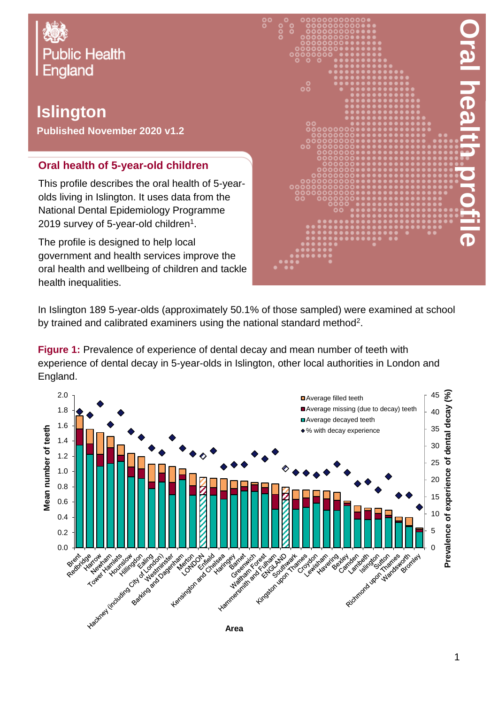

## **Islington**

**Published November 2020 v1.2**

## **Oral health of 5-year-old children**

This profile describes the oral health of 5-yearolds living in Islington. It uses data from the National Dental Epidemiology Programme 2019 survey of 5-year-old children $^{\rm 1}.$ 

The profile is designed to help local government and health services improve the oral health and wellbeing of children and tackle health inequalities.



In Islington 189 5-year-olds (approximately 50.1% of those sampled) were examined at school by trained and calibrated examiners using the national standard method<sup>2</sup>.

**Figure 1:** Prevalence of experience of dental decay and mean number of teeth with experience of dental decay in 5-year-olds in Islington, other local authorities in London and England.

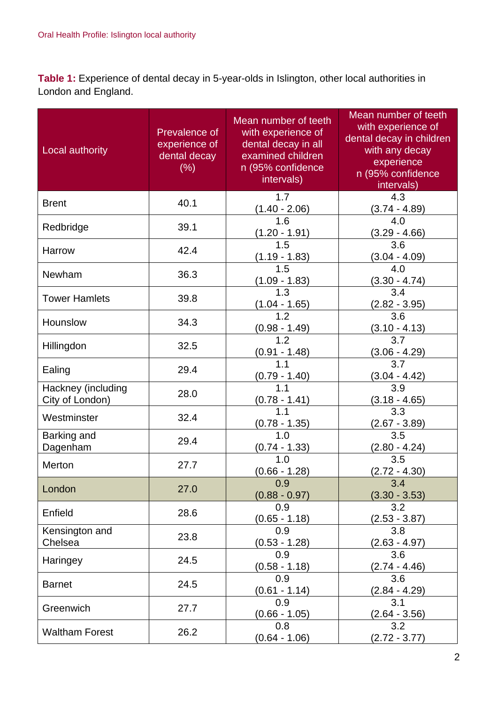**Table 1:** Experience of dental decay in 5-year-olds in Islington, other local authorities in London and England.

| Local authority                       | Prevalence of<br>experience of<br>dental decay<br>(% ) | Mean number of teeth<br>with experience of<br>dental decay in all<br>examined children<br>n (95% confidence<br>intervals) | Mean number of teeth<br>with experience of<br>dental decay in children<br>with any decay<br>experience<br>n (95% confidence<br>intervals) |
|---------------------------------------|--------------------------------------------------------|---------------------------------------------------------------------------------------------------------------------------|-------------------------------------------------------------------------------------------------------------------------------------------|
| <b>Brent</b>                          | 40.1                                                   | 1.7<br>$(1.40 - 2.06)$                                                                                                    | 4.3<br>$(3.74 - 4.89)$                                                                                                                    |
| Redbridge                             | 39.1                                                   | 1.6<br><u>(1.20 - 1.91)</u>                                                                                               | 4.0<br>$(3.29 - 4.66)$                                                                                                                    |
| Harrow                                | 42.4                                                   | 1.5<br>$(1.19 - 1.83)$                                                                                                    | 3.6<br>$(3.04 - 4.09)$                                                                                                                    |
| Newham                                | 36.3                                                   | 1.5<br>$(1.09 - 1.83)$                                                                                                    | 4.0<br>$(3.30 - 4.74)$                                                                                                                    |
| <b>Tower Hamlets</b>                  | 39.8                                                   | 1.3<br>$\frac{(1.04 - 1.65)}{1.2}$                                                                                        | 3.4<br>$(2.82 - 3.95)$                                                                                                                    |
| Hounslow                              | 34.3                                                   | <u>(0.98 - 1.49)</u>                                                                                                      | 3.6<br><u>(3.10 - 4.13)</u>                                                                                                               |
| Hillingdon                            | 32.5                                                   | 1.2<br>$\frac{(0.91 - 1.48)}{1.1}$                                                                                        | 3.7<br>$\frac{(3.06 - 4.29)}{3.7}$                                                                                                        |
| Ealing                                | 29.4                                                   | $\frac{(0.79 - 1.40)}{1.1}$                                                                                               |                                                                                                                                           |
| Hackney (including<br>City of London) | 28.0                                                   | $(0.78 - 1.41)$                                                                                                           | $\frac{(3.04 - 4.42)}{3.9}$<br>$(3.18 - 4.65)$                                                                                            |
| Westminster                           | 32.4                                                   | <u>(0.78 - 1.35)</u>                                                                                                      | 3.3<br><u>(2.67 - 3.89)</u>                                                                                                               |
| Barking and<br>Dagenham               | 29.4                                                   | 1.0<br>$(0.74 - 1.33)$                                                                                                    | 3.5<br>$(2.80 - 4.24)$                                                                                                                    |
| Merton                                | 27.7                                                   | 1.0<br>$(0.66 - 1.28)$                                                                                                    | 3.5<br>$(2.72 - 4.30)$                                                                                                                    |
| London                                | 27.0                                                   | 0.9<br>$(0.88 - 0.97)$                                                                                                    | 3.4<br>$(3.30 - 3.53)$                                                                                                                    |
| Enfield                               | 28.6                                                   | 0.9<br>$(0.65 - 1.18)$                                                                                                    | 3.2<br>$(2.53 - 3.87)$                                                                                                                    |
| Kensington and<br>Chelsea             | 23.8                                                   | 0.9<br>$(0.53 - 1.28)$                                                                                                    | 3.8<br>(2.63 - 4.97)                                                                                                                      |
| Haringey                              | 24.5                                                   | 0.9<br>$(0.58 - 1.18)$                                                                                                    | 3.6<br>$(2.74 - 4.46)$                                                                                                                    |
| <b>Barnet</b>                         | 24.5                                                   | 0.9<br>$(0.61 - 1.14)$                                                                                                    | 3.6<br>$(2.84 - 4.29)$                                                                                                                    |
| Greenwich                             | 27.7                                                   | 0.9<br>$(0.66 - 1.05)$                                                                                                    | 3.1<br>$(2.64 - 3.56)$                                                                                                                    |
| <b>Waltham Forest</b>                 | 26.2                                                   | 0.8<br>$(0.64 - 1.06)$                                                                                                    | 3.2<br>$(2.72 - 3.77)$                                                                                                                    |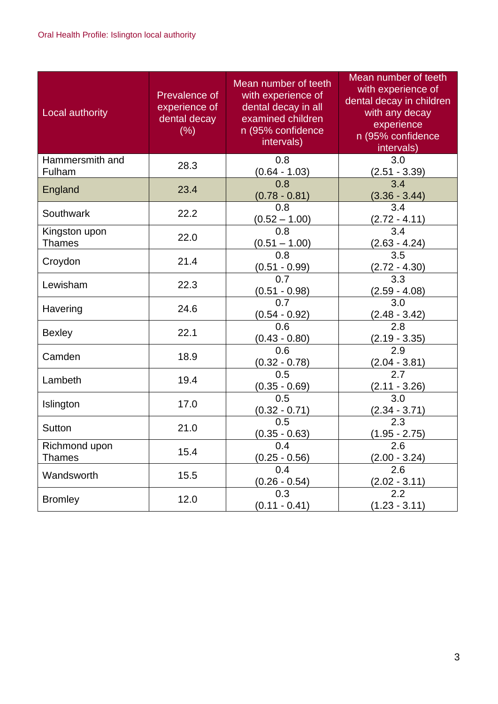| Local authority                | Prevalence of<br>experience of<br>dental decay<br>(% ) | Mean number of teeth<br>with experience of<br>dental decay in all<br>examined children<br>n (95% confidence<br>intervals) | Mean number of teeth<br>with experience of<br>dental decay in children<br>with any decay<br>experience<br>n (95% confidence<br>intervals) |
|--------------------------------|--------------------------------------------------------|---------------------------------------------------------------------------------------------------------------------------|-------------------------------------------------------------------------------------------------------------------------------------------|
| Hammersmith and<br>Fulham      | 28.3                                                   | 0.8<br>$(0.64 - 1.03)$                                                                                                    | 3.0<br>$(2.51 - 3.39)$                                                                                                                    |
| England                        | 23.4                                                   | 0.8<br>$(0.78 - 0.81)$                                                                                                    | 3.4<br>$(3.36 - 3.44)$                                                                                                                    |
| Southwark                      | 22.2                                                   | 0.8<br>$(0.52 - 1.00)$                                                                                                    | 3.4<br>$(2.72 - 4.11)$                                                                                                                    |
| Kingston upon<br><b>Thames</b> | 22.0                                                   | 0.8<br>$(0.51 - 1.00)$                                                                                                    | 3.4<br>$(2.63 - 4.24)$                                                                                                                    |
| Croydon                        | 21.4                                                   | 0.8<br>$(0.51 - 0.99)$                                                                                                    | 3.5<br>$(2.72 - 4.30)$                                                                                                                    |
| Lewisham                       | 22.3                                                   | 0.7<br>$(0.51 - 0.98)$                                                                                                    | 3.3<br>(2.59 - 4.08)                                                                                                                      |
| Havering                       | 24.6                                                   | 0.7<br>$(0.54 - 0.92)$                                                                                                    | 3.0<br>$(2.48 - 3.42)$                                                                                                                    |
| <b>Bexley</b>                  | 22.1                                                   | 0.6<br>$(0.43 - 0.80)$                                                                                                    | 2.8<br>$(2.19 - 3.35)$                                                                                                                    |
| Camden                         | 18.9                                                   | 0.6<br>$(0.32 - 0.78)$                                                                                                    | 2.9<br>$(2.04 - 3.81)$                                                                                                                    |
| Lambeth                        | 19.4                                                   | 0.5<br>$(0.35 - 0.69)$                                                                                                    | 2.7<br>$(2.11 - 3.26)$                                                                                                                    |
| Islington                      | 17.0                                                   | 0.5<br>$(0.32 - 0.71)$                                                                                                    | 3.0<br>$(2.34 - 3.71)$                                                                                                                    |
| <b>Sutton</b>                  | 21.0                                                   | 0.5<br>$(0.35 - 0.63)$                                                                                                    | 2.3<br>$(1.95 - 2.75)$                                                                                                                    |
| Richmond upon<br><b>Thames</b> | 15.4                                                   | 0.4<br>$(0.25 - 0.56)$                                                                                                    | 2.6<br>$(2.00 - 3.24)$                                                                                                                    |
| Wandsworth                     | 15.5                                                   | 0.4<br>$(0.26 - 0.54)$                                                                                                    | 2.6<br>$(2.02 - 3.11)$                                                                                                                    |
| <b>Bromley</b>                 | 12.0                                                   | 0.3<br>$(0.11 - 0.41)$                                                                                                    | 2.2<br>$(1.23 - 3.11)$                                                                                                                    |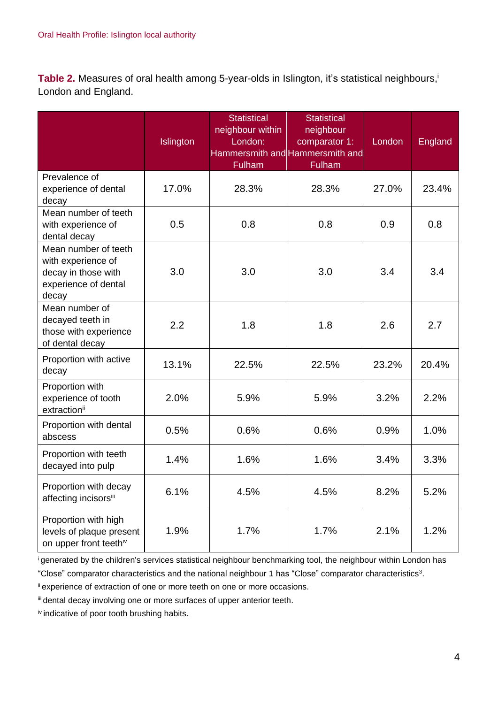Table 2. Measures of oral health among 5-year-olds in Islington, it's statistical neighbours,<sup>i</sup> London and England.

|                                                                                                    | Islington | <b>Statistical</b><br>neighbour within<br>London:<br><b>Fulham</b> | <b>Statistical</b><br>neighbour<br>comparator 1:<br>Hammersmith and Hammersmith and<br><b>Fulham</b> | London | <b>England</b> |
|----------------------------------------------------------------------------------------------------|-----------|--------------------------------------------------------------------|------------------------------------------------------------------------------------------------------|--------|----------------|
| Prevalence of<br>experience of dental<br>decay                                                     | 17.0%     | 28.3%                                                              | 28.3%                                                                                                | 27.0%  | 23.4%          |
| Mean number of teeth<br>with experience of<br>dental decay                                         | 0.5       | 0.8                                                                | 0.8                                                                                                  | 0.9    | 0.8            |
| Mean number of teeth<br>with experience of<br>decay in those with<br>experience of dental<br>decay | 3.0       | 3.0                                                                | 3.0                                                                                                  | 3.4    | 3.4            |
| Mean number of<br>decayed teeth in<br>those with experience<br>of dental decay                     | 2.2       | 1.8                                                                | 1.8                                                                                                  | 2.6    | 2.7            |
| Proportion with active<br>decay                                                                    | 13.1%     | 22.5%                                                              | 22.5%                                                                                                | 23.2%  | 20.4%          |
| Proportion with<br>experience of tooth<br>extraction <sup>ii</sup>                                 | 2.0%      | 5.9%                                                               | 5.9%                                                                                                 | 3.2%   | 2.2%           |
| Proportion with dental<br>abscess                                                                  | 0.5%      | 0.6%                                                               | 0.6%                                                                                                 | 0.9%   | 1.0%           |
| Proportion with teeth<br>decayed into pulp                                                         | 1.4%      | 1.6%                                                               | 1.6%                                                                                                 | 3.4%   | 3.3%           |
| Proportion with decay<br>affecting incisorsii                                                      | 6.1%      | 4.5%                                                               | 4.5%                                                                                                 | 8.2%   | 5.2%           |
| Proportion with high<br>levels of plaque present<br>on upper front teethiv                         | 1.9%      | 1.7%                                                               | 1.7%                                                                                                 | 2.1%   | 1.2%           |

<sup>i</sup>generated by the children's services statistical neighbour benchmarking tool, the neighbour within London has

"Close" comparator characteristics and the national neighbour 1 has "Close" comparator characteristics<sup>3</sup> .

ii experience of extraction of one or more teeth on one or more occasions.

iii dental decay involving one or more surfaces of upper anterior teeth.

iv indicative of poor tooth brushing habits.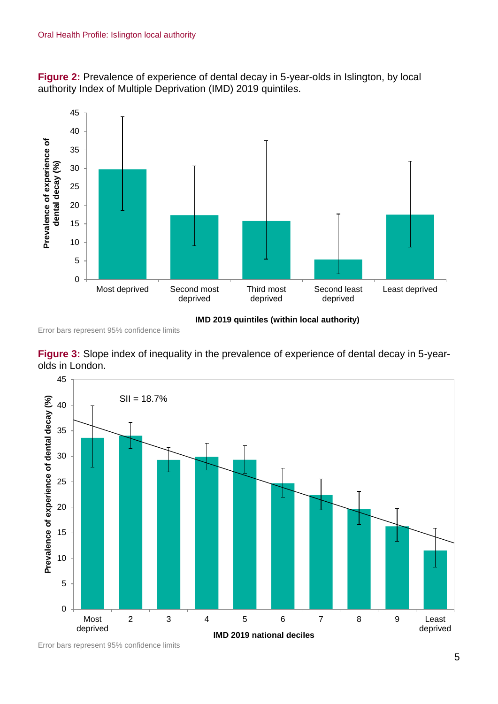**Figure 2:** Prevalence of experience of dental decay in 5-year-olds in Islington, by local authority Index of Multiple Deprivation (IMD) 2019 quintiles.



**IMD 2019 quintiles (within local authority)**

Error bars represent 95% confidence limits





Error bars represent 95% confidence limits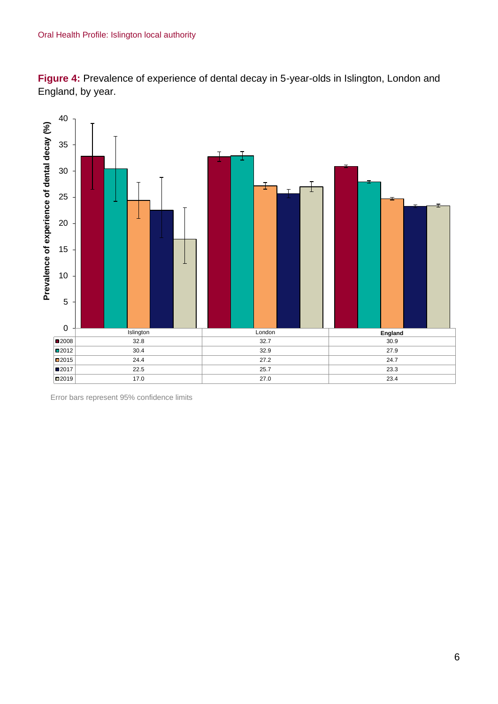**Figure 4:** Prevalence of experience of dental decay in 5-year-olds in Islington, London and England, by year.



Error bars represent 95% confidence limits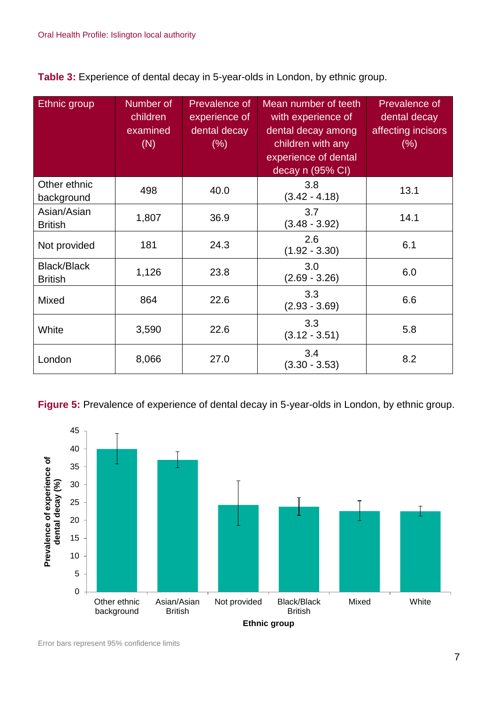**Table 3:** Experience of dental decay in 5-year-olds in London, by ethnic group.

| Ethnic group                         | Number of<br>children<br>examined<br>(N) | Prevalence of<br>experience of<br>dental decay<br>$(\% )$ | Mean number of teeth<br>with experience of<br>dental decay among<br>children with any<br>experience of dental<br>decay n (95% CI) | Prevalence of<br>dental decay<br>affecting incisors<br>$(\% )$ |
|--------------------------------------|------------------------------------------|-----------------------------------------------------------|-----------------------------------------------------------------------------------------------------------------------------------|----------------------------------------------------------------|
| Other ethnic<br>background           | 498                                      | 40.0                                                      | 3.8<br>$(3.42 - 4.18)$                                                                                                            | 13.1                                                           |
| Asian/Asian<br><b>British</b>        | 1,807                                    | 36.9                                                      | 3.7<br>$(3.48 - 3.92)$                                                                                                            | 14.1                                                           |
| Not provided                         | 181                                      | 24.3                                                      | 2.6<br>$(1.92 - 3.30)$                                                                                                            | 6.1                                                            |
| <b>Black/Black</b><br><b>British</b> | 1,126                                    | 23.8                                                      | 3.0<br>$(2.69 - 3.26)$                                                                                                            | 6.0                                                            |
| <b>Mixed</b>                         | 864                                      | 22.6                                                      | 3.3<br>$(2.93 - 3.69)$                                                                                                            | 6.6                                                            |
| White                                | 3,590                                    | 22.6                                                      | 3.3<br>$(3.12 - 3.51)$                                                                                                            | 5.8                                                            |
| London                               | 8,066                                    | 27.0                                                      | 3.4<br>$(3.30 - 3.53)$                                                                                                            | 8.2                                                            |

**Figure 5:** Prevalence of experience of dental decay in 5-year-olds in London, by ethnic group.

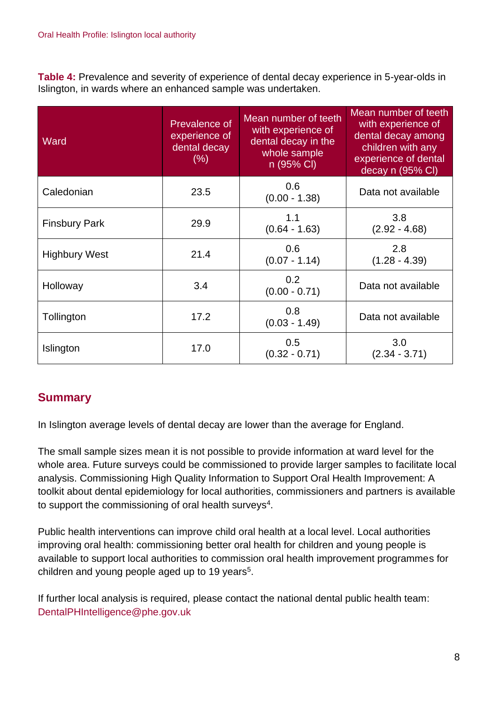**Table 4:** Prevalence and severity of experience of dental decay experience in 5-year-olds in Islington, in wards where an enhanced sample was undertaken.

| Ward                 | Prevalence of<br>experience of<br>dental decay<br>(% ) | Mean number of teeth<br>with experience of<br>dental decay in the<br>whole sample<br>n (95% CI) | Mean number of teeth<br>with experience of<br>dental decay among<br>children with any<br>experience of dental<br>decay n (95% CI) |
|----------------------|--------------------------------------------------------|-------------------------------------------------------------------------------------------------|-----------------------------------------------------------------------------------------------------------------------------------|
| Caledonian           | 23.5                                                   | 0.6<br>$(0.00 - 1.38)$                                                                          | Data not available                                                                                                                |
| <b>Finsbury Park</b> | 29.9                                                   | 1.1<br>$(0.64 - 1.63)$                                                                          | 3.8<br>$(2.92 - 4.68)$                                                                                                            |
| <b>Highbury West</b> | 21.4                                                   | 0.6<br>$(0.07 - 1.14)$                                                                          | 2.8<br>$(1.28 - 4.39)$                                                                                                            |
| Holloway             | 3.4                                                    | 0.2<br>$(0.00 - 0.71)$                                                                          | Data not available                                                                                                                |
| Tollington           | 17.2                                                   | 0.8<br>$(0.03 - 1.49)$                                                                          | Data not available                                                                                                                |
| Islington            | 17.0                                                   | 0.5<br>$(0.32 - 0.71)$                                                                          | 3.0<br>$(2.34 - 3.71)$                                                                                                            |

## **Summary**

In Islington average levels of dental decay are lower than the average for England.

The small sample sizes mean it is not possible to provide information at ward level for the whole area. Future surveys could be commissioned to provide larger samples to facilitate local analysis. Commissioning High Quality Information to Support Oral Health Improvement: A toolkit about dental epidemiology for local authorities, commissioners and partners is available to support the commissioning of oral health surveys<sup>4</sup>.

Public health interventions can improve child oral health at a local level. Local authorities improving oral health: commissioning better oral health for children and young people is available to support local authorities to commission oral health improvement programmes for children and young people aged up to 19 years<sup>5</sup>.

If further local analysis is required, please contact the national dental public health team: DentalPHIntelligence@phe.gov.uk